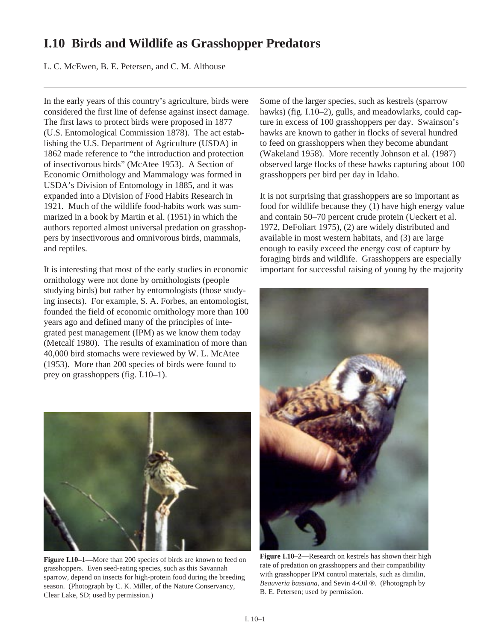## **I.10 Birds and Wildlife as Grasshopper Predators**

L. C. McEwen, B. E. Petersen, and C. M. Althouse

In the early years of this country's agriculture, birds were considered the first line of defense against insect damage. The first laws to protect birds were proposed in 1877 (U.S. Entomological Commission 1878). The act establishing the U.S. Department of Agriculture (USDA) in 1862 made reference to "the introduction and protection of insectivorous birds" (McAtee 1953). A Section of Economic Ornithology and Mammalogy was formed in USDA's Division of Entomology in 1885, and it was expanded into a Division of Food Habits Research in 1921. Much of the wildlife food-habits work was summarized in a book by Martin et al. (1951) in which the authors reported almost universal predation on grasshoppers by insectivorous and omnivorous birds, mammals, and reptiles.

It is interesting that most of the early studies in economic ornithology were not done by ornithologists (people studying birds) but rather by entomologists (those studying insects). For example, S. A. Forbes, an entomologist, founded the field of economic ornithology more than 100 years ago and defined many of the principles of integrated pest management (IPM) as we know them today (Metcalf 1980). The results of examination of more than 40,000 bird stomachs were reviewed by W. L. McAtee (1953). More than 200 species of birds were found to prey on grasshoppers (fig. I.10–1).



Figure I.10–1—More than 200 species of birds are known to feed on grasshoppers. Even seed-eating species, such as this Savannah sparrow, depend on insects for high-protein food during the breeding season. (Photograph by C. K. Miller, of the Nature Conservancy, Clear Lake, SD; used by permission.)

Some of the larger species, such as kestrels (sparrow hawks) (fig. I.10–2), gulls, and meadowlarks, could capture in excess of 100 grasshoppers per day. Swainson's hawks are known to gather in flocks of several hundred to feed on grasshoppers when they become abundant (Wakeland 1958). More recently Johnson et al. (1987) observed large flocks of these hawks capturing about 100 grasshoppers per bird per day in Idaho.

It is not surprising that grasshoppers are so important as food for wildlife because they (1) have high energy value and contain 50–70 percent crude protein (Ueckert et al. 1972, DeFoliart 1975), (2) are widely distributed and available in most western habitats, and (3) are large enough to easily exceed the energy cost of capture by foraging birds and wildlife. Grasshoppers are especially important for successful raising of young by the majority



**Figure I.10–2—**Research on kestrels has shown their high rate of predation on grasshoppers and their compatibility with grasshopper IPM control materials, such as dimilin, *Beauveria bassiana,* and Sevin 4-Oil ®. (Photograph by B. E. Petersen; used by permission.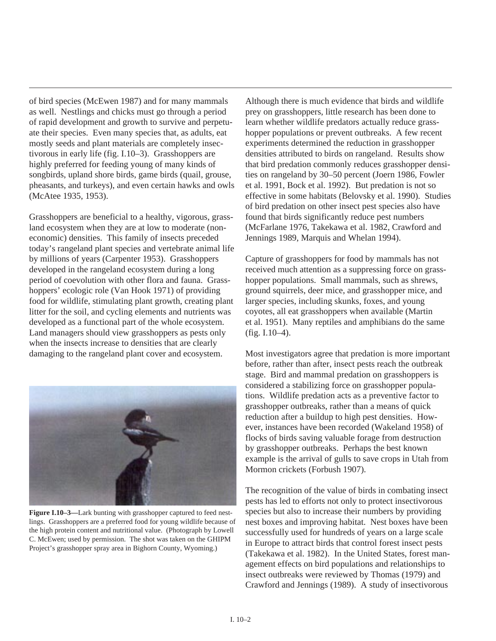of bird species (McEwen 1987) and for many mammals as well. Nestlings and chicks must go through a period of rapid development and growth to survive and perpetuate their species. Even many species that, as adults, eat mostly seeds and plant materials are completely insectivorous in early life (fig. I.10–3). Grasshoppers are highly preferred for feeding young of many kinds of songbirds, upland shore birds, game birds (quail, grouse, pheasants, and turkeys), and even certain hawks and owls (McAtee 1935, 1953).

Grasshoppers are beneficial to a healthy, vigorous, grassland ecosystem when they are at low to moderate (noneconomic) densities. This family of insects preceded today's rangeland plant species and vertebrate animal life by millions of years (Carpenter 1953). Grasshoppers developed in the rangeland ecosystem during a long period of coevolution with other flora and fauna. Grasshoppers' ecologic role (Van Hook 1971) of providing food for wildlife, stimulating plant growth, creating plant litter for the soil, and cycling elements and nutrients was developed as a functional part of the whole ecosystem. Land managers should view grasshoppers as pests only when the insects increase to densities that are clearly damaging to the rangeland plant cover and ecosystem.



**Figure I.10–3—**Lark bunting with grasshopper captured to feed nestlings. Grasshoppers are a preferred food for young wildlife because of the high protein content and nutritional value. (Photograph by Lowell C. McEwen; used by permission. The shot was taken on the GHIPM Project's grasshopper spray area in Bighorn County, Wyoming.)

Although there is much evidence that birds and wildlife prey on grasshoppers, little research has been done to learn whether wildlife predators actually reduce grasshopper populations or prevent outbreaks. A few recent experiments determined the reduction in grasshopper densities attributed to birds on rangeland. Results show that bird predation commonly reduces grasshopper densities on rangeland by 30–50 percent (Joern 1986, Fowler et al. 1991, Bock et al. 1992). But predation is not so effective in some habitats (Belovsky et al. 1990). Studies of bird predation on other insect pest species also have found that birds significantly reduce pest numbers (McFarlane 1976, Takekawa et al. 1982, Crawford and Jennings 1989, Marquis and Whelan 1994).

Capture of grasshoppers for food by mammals has not received much attention as a suppressing force on grasshopper populations. Small mammals, such as shrews, ground squirrels, deer mice, and grasshopper mice, and larger species, including skunks, foxes, and young coyotes, all eat grasshoppers when available (Martin et al. 1951). Many reptiles and amphibians do the same (fig. I.10–4).

Most investigators agree that predation is more important before, rather than after, insect pests reach the outbreak stage. Bird and mammal predation on grasshoppers is considered a stabilizing force on grasshopper populations. Wildlife predation acts as a preventive factor to grasshopper outbreaks, rather than a means of quick reduction after a buildup to high pest densities. However, instances have been recorded (Wakeland 1958) of flocks of birds saving valuable forage from destruction by grasshopper outbreaks. Perhaps the best known example is the arrival of gulls to save crops in Utah from Mormon crickets (Forbush 1907).

The recognition of the value of birds in combating insect pests has led to efforts not only to protect insectivorous species but also to increase their numbers by providing nest boxes and improving habitat. Nest boxes have been successfully used for hundreds of years on a large scale in Europe to attract birds that control forest insect pests (Takekawa et al. 1982). In the United States, forest management effects on bird populations and relationships to insect outbreaks were reviewed by Thomas (1979) and Crawford and Jennings (1989). A study of insectivorous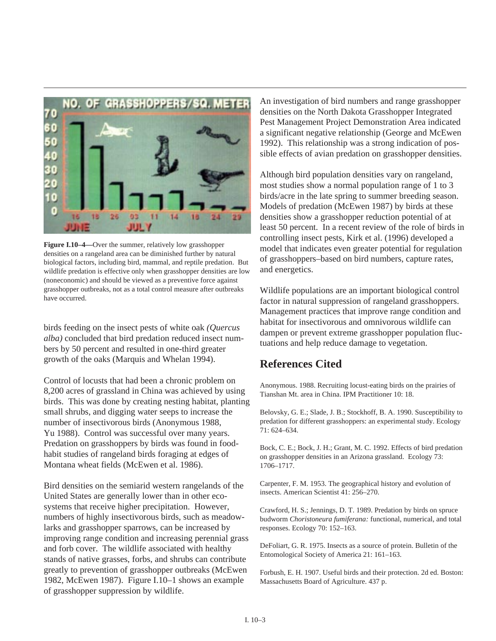

**Figure I.10–4—**Over the summer, relatively low grasshopper densities on a rangeland area can be diminished further by natural biological factors, including bird, mammal, and reptile predation. But wildlife predation is effective only when grasshopper densities are low (noneconomic) and should be viewed as a preventive force against grasshopper outbreaks, not as a total control measure after outbreaks have occurred.

birds feeding on the insect pests of white oak *(Quercus alba)* concluded that bird predation reduced insect numbers by 50 percent and resulted in one-third greater growth of the oaks (Marquis and Whelan 1994).

Control of locusts that had been a chronic problem on 8,200 acres of grassland in China was achieved by using birds. This was done by creating nesting habitat, planting small shrubs, and digging water seeps to increase the number of insectivorous birds (Anonymous 1988, Yu 1988). Control was successful over many years. Predation on grasshoppers by birds was found in foodhabit studies of rangeland birds foraging at edges of Montana wheat fields (McEwen et al. 1986).

Bird densities on the semiarid western rangelands of the United States are generally lower than in other ecosystems that receive higher precipitation. However, numbers of highly insectivorous birds, such as meadowlarks and grasshopper sparrows, can be increased by improving range condition and increasing perennial grass and forb cover. The wildlife associated with healthy stands of native grasses, forbs, and shrubs can contribute greatly to prevention of grasshopper outbreaks (McEwen 1982, McEwen 1987). Figure I.10–1 shows an example of grasshopper suppression by wildlife.

An investigation of bird numbers and range grasshopper densities on the North Dakota Grasshopper Integrated Pest Management Project Demonstration Area indicated a significant negative relationship (George and McEwen 1992). This relationship was a strong indication of possible effects of avian predation on grasshopper densities.

Although bird population densities vary on rangeland, most studies show a normal population range of 1 to 3 birds/acre in the late spring to summer breeding season. Models of predation (McEwen 1987) by birds at these densities show a grasshopper reduction potential of at least 50 percent. In a recent review of the role of birds in controlling insect pests, Kirk et al. (1996) developed a model that indicates even greater potential for regulation of grasshoppers–based on bird numbers, capture rates, and energetics.

Wildlife populations are an important biological control factor in natural suppression of rangeland grasshoppers. Management practices that improve range condition and habitat for insectivorous and omnivorous wildlife can dampen or prevent extreme grasshopper population fluctuations and help reduce damage to vegetation.

## **References Cited**

Anonymous. 1988. Recruiting locust-eating birds on the prairies of Tianshan Mt. area in China. IPM Practitioner 10: 18.

Belovsky, G. E.; Slade, J. B.; Stockhoff, B. A. 1990. Susceptibility to predation for different grasshoppers: an experimental study. Ecology 71: 624–634.

Bock, C. E.; Bock, J. H.; Grant, M. C. 1992. Effects of bird predation on grasshopper densities in an Arizona grassland. Ecology 73: 1706–1717.

Carpenter, F. M. 1953. The geographical history and evolution of insects. American Scientist 41: 256–270.

Crawford, H. S.; Jennings, D. T. 1989. Predation by birds on spruce budworm *Choristoneura fumiferana:* functional, numerical, and total responses. Ecology 70: 152–163.

DeFoliart, G. R. 1975. Insects as a source of protein. Bulletin of the Entomological Society of America 21: 161–163.

Forbush, E. H. 1907. Useful birds and their protection. 2d ed. Boston: Massachusetts Board of Agriculture. 437 p.